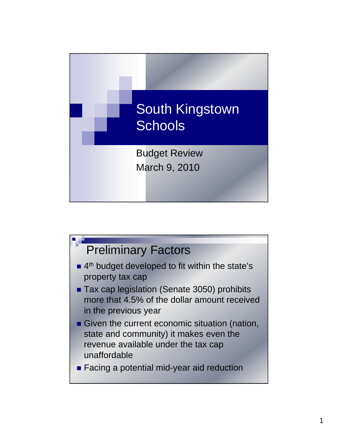

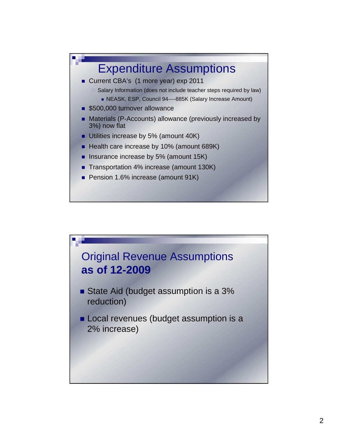

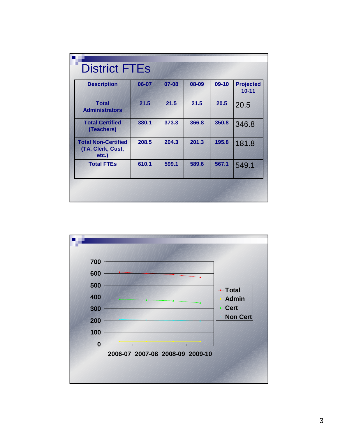| <b>Description</b>                                       | 06-07 | 07-08 | 08-09 | $09-10$ | <b>Projected</b><br>$10 - 11$ |
|----------------------------------------------------------|-------|-------|-------|---------|-------------------------------|
| <b>Total</b><br><b>Administrators</b>                    | 21.5  | 21.5  | 21.5  | 20.5    | 20.5                          |
| <b>Total Certified</b><br>(Teachers)                     | 380.1 | 373.3 | 366.8 | 350.8   | 346.8                         |
| <b>Total Non-Certified</b><br>(TA, Clerk, Cust,<br>etc.) | 208.5 | 204.3 | 201.3 | 195.8   | 181.8                         |
| <b>Total FTEs</b>                                        | 610.1 | 599.1 | 589.6 | 567.1   | 549.1                         |

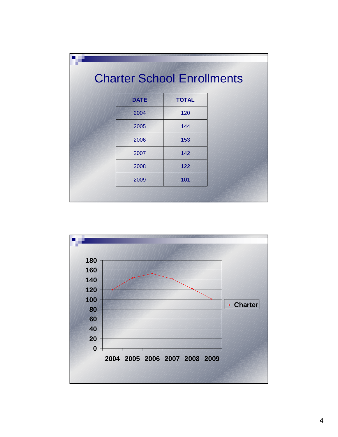| <b>Charter School Enrollments</b> |              |  |
|-----------------------------------|--------------|--|
| <b>DATE</b>                       | <b>TOTAL</b> |  |
| 2004                              | 120          |  |
| 2005                              | 144          |  |
| 2006                              | 153          |  |
| 2007                              | 142          |  |
| 2008                              | 122          |  |
| 2009                              | 101          |  |

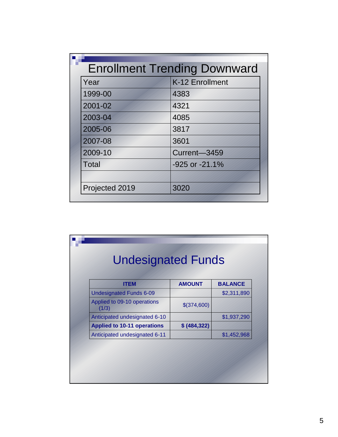|                | <b>Enrollment Trending Downward</b> |
|----------------|-------------------------------------|
| Year           | K-12 Enrollment                     |
| 1999-00        | 4383                                |
| 2001-02        | 4321                                |
| 2003-04        | 4085                                |
| 2005-06        | 3817                                |
| 2007-08        | 3601                                |
| 2009-10        | Current-3459                        |
| <b>Total</b>   | -925 or -21.1%                      |
|                |                                     |
| Projected 2019 | 3020                                |

| <b>ITEM</b>                          | <b>AMOUNT</b> | <b>BALANCE</b> |
|--------------------------------------|---------------|----------------|
| <b>Undesignated Funds 6-09</b>       |               | \$2,311,890    |
| Applied to 09-10 operations<br>(1/3) | \$(374,600)   |                |
| Anticipated undesignated 6-10        |               | \$1,937,290    |
| <b>Applied to 10-11 operations</b>   | \$ (484, 322) |                |
| Anticipated undesignated 6-11        |               | \$1,452,968    |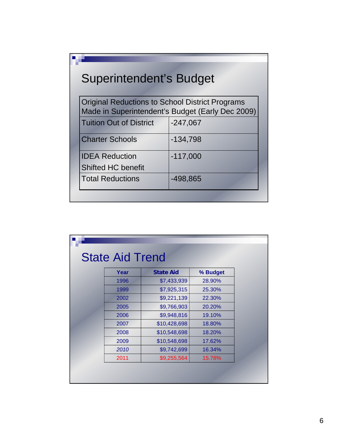| <b>Superintendent's Budget</b> |                                                                                                     |
|--------------------------------|-----------------------------------------------------------------------------------------------------|
|                                | Original Reductions to School District Programs<br>Made in Superintendent's Budget (Early Dec 2009) |
| <b>Tuition Out of District</b> | $-247,067$                                                                                          |
| <b>Charter Schools</b>         | $-134,798$                                                                                          |
| <b>IDEA Reduction</b>          | $-117,000$                                                                                          |
| <b>Shifted HC benefit</b>      |                                                                                                     |
| <b>Total Reductions</b>        | $-498,865$                                                                                          |

| <b>State Aid Trend</b> |                  |          |
|------------------------|------------------|----------|
| Year                   | <b>State Aid</b> | % Budget |
| 1996                   | \$7,433,939      | 28.90%   |
| 1999                   | \$7,925,315      | 25.30%   |
| 2002                   | \$9,221,139      | 22.30%   |
| 2005                   | \$9,766,903      | 20.20%   |
| 2006                   | \$9,948,816      | 19.10%   |
| 2007                   | \$10,428,698     | 18.80%   |
| 2008                   | \$10,548,698     | 18.20%   |
| 2009                   | \$10,548,698     | 17.62%   |
| 2010                   | \$9,742,699      | 16.34%   |
| 2011                   | \$9,255,564      | 15.78%   |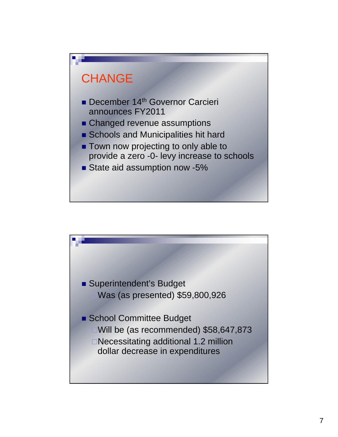

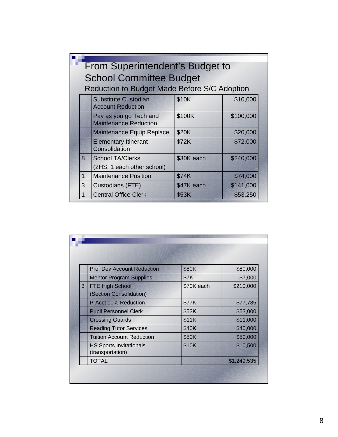|   | <b>From Superintendent's Budget to</b>                  |            |           |
|---|---------------------------------------------------------|------------|-----------|
|   | <b>School Committee Budget</b>                          |            |           |
|   | Reduction to Budget Made Before S/C Adoption            |            |           |
|   | <b>Substitute Custodian</b><br><b>Account Reduction</b> | \$10K      | \$10,000  |
|   | Pay as you go Tech and<br><b>Maintenance Reduction</b>  | \$100K     | \$100,000 |
|   | Maintenance Equip Replace                               | \$20K      | \$20,000  |
|   | <b>Elementary Itinerant</b><br>Consolidation            | \$72K      | \$72,000  |
| 8 | <b>School TA/Clerks</b>                                 | \$30K each | \$240,000 |
|   | (2HS, 1 each other school)                              |            |           |
| 1 | <b>Maintenance Position</b>                             | \$74K      | \$74,000  |
| 3 | Custodians (FTE)                                        | \$47K each | \$141,000 |
|   | <b>Central Office Clerk</b>                             | \$53K      | \$53,250  |

|   | <b>Prof Dev Account Reduction</b>                  | \$80K      | \$80,000    |
|---|----------------------------------------------------|------------|-------------|
|   | <b>Mentor Program Supplies</b>                     | \$7K       | \$7,000     |
| 3 | <b>FTE High School</b>                             | \$70K each | \$210,000   |
|   | (Section Consolidation)                            |            |             |
|   | P-Acct 10% Reduction                               | \$77K      | \$77,785    |
|   | <b>Pupil Personnel Clerk</b>                       | \$53K      | \$53,000    |
|   | <b>Crossing Guards</b>                             | \$11K      | \$11,000    |
|   | <b>Reading Tutor Services</b>                      | \$40K      | \$40,000    |
|   | <b>Tuition Account Reduction</b>                   | \$50K      | \$50,000    |
|   | <b>HS Sports Invitationals</b><br>(transportation) | \$10K      | \$10,500    |
|   | <b>TOTAL</b>                                       |            | \$1,249,535 |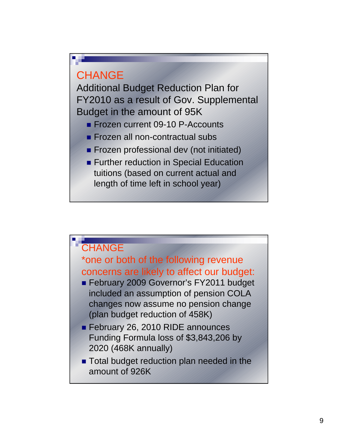## **CHANGE**

Additional Budget Reduction Plan for FY2010 as a result of Gov. Supplemental Budget in the amount of 95K

- **Frozen current 09-10 P-Accounts**
- **Frozen all non-contractual subs**
- **Frozen professional dev (not initiated)**
- **Further reduction in Special Education** tuitions (based on current actual and length of time left in school year)

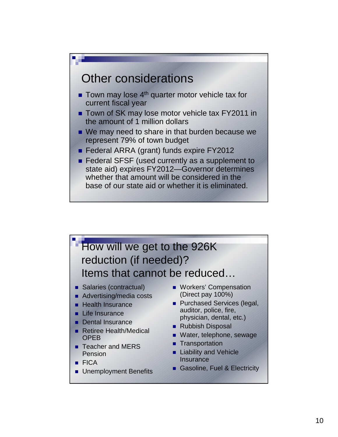

- Town of SK may lose motor vehicle tax FY2011 in the amount of 1 million dollars
- We may need to share in that burden because we represent 79% of town budget
- Federal ARRA (grant) funds expire FY2012
- Federal SFSF (used currently as a supplement to state aid) expires FY2012—Governor determines whether that amount will be considered in the base of our state aid or whether it is eliminated.

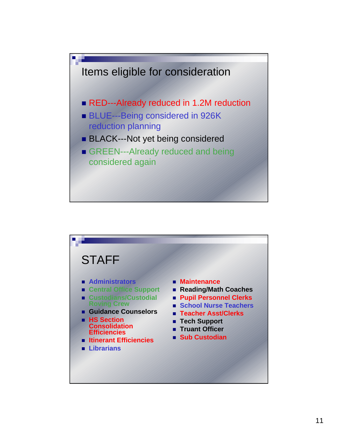

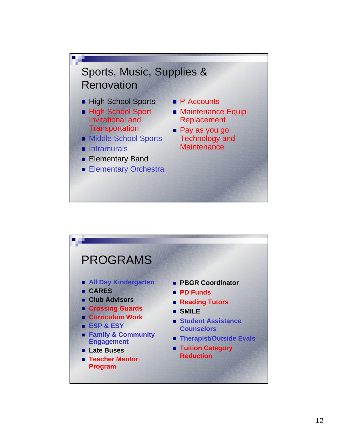

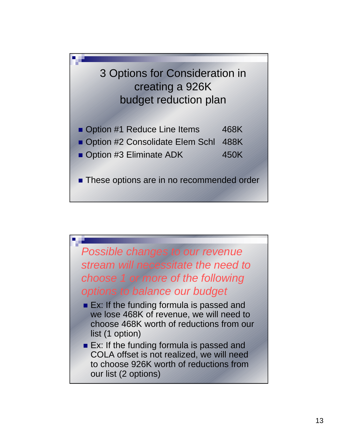

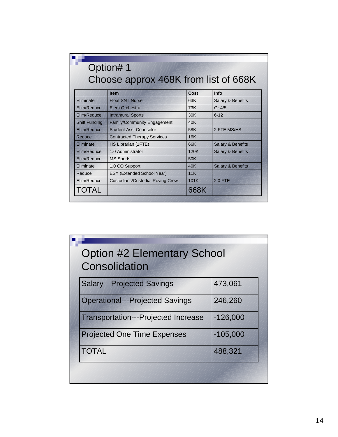|                      | Option#1<br>Choose approx 468K from list of 668K |      |                              |
|----------------------|--------------------------------------------------|------|------------------------------|
|                      | Item                                             | Cost | Info                         |
| Eliminate            | <b>Float SNT Nurse</b>                           | 63K  | Salary & Benefits            |
| Elim/Reduce          | Elem Orchestra                                   | 73K  | Gr 4/5                       |
| Elim/Reduce          | <b>Intramural Sports</b>                         | 30K  | $6 - 12$                     |
| <b>Shift Funding</b> | <b>Family/Community Engagement</b>               | 40K  |                              |
| Flim/Reduce          | <b>Student Asst Counselor</b>                    | 58K  | 2 FTE MS/HS                  |
| Reduce               | <b>Contracted Therapy Services</b>               | 16K  |                              |
| <b>Fliminate</b>     | HS Librarian (1FTE)                              | 66K  | <b>Salary &amp; Benefits</b> |
| Elim/Reduce          | 1.0 Administrator                                | 120K | <b>Salary &amp; Benefits</b> |
| Elim/Reduce          | <b>MS Sports</b>                                 | 50K  |                              |
| Eliminate            | 1.0 CO Support                                   | 40K  | <b>Salary &amp; Benefits</b> |
| Reduce               | ESY (Extended School Year)                       | 11K  |                              |
| Elim/Reduce          | <b>Custodians/Custodial Roving Crew</b>          | 101K | <b>2.0 FTE</b>               |
| TOTAL                |                                                  | 668K |                              |

| <b>Option #2 Elementary School</b><br>Consolidation |            |
|-----------------------------------------------------|------------|
| <b>Salary---Projected Savings</b>                   | 473,061    |
| <b>Operational---Projected Savings</b>              | 246,260    |
| <b>Transportation---Projected Increase</b>          | $-126,000$ |
| <b>Projected One Time Expenses</b>                  | $-105,000$ |
| <b>TOTAL</b>                                        | 488,321    |